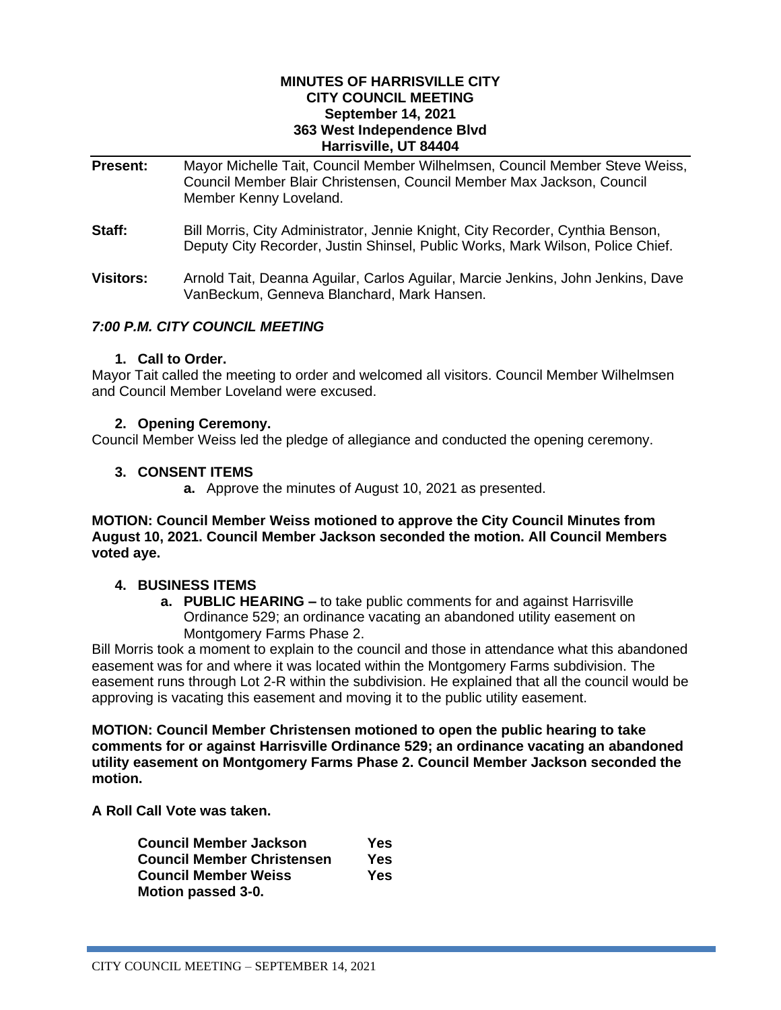## **MINUTES OF HARRISVILLE CITY CITY COUNCIL MEETING September 14, 2021 363 West Independence Blvd Harrisville, UT 84404**

- **Present:** Mayor Michelle Tait, Council Member Wilhelmsen, Council Member Steve Weiss, Council Member Blair Christensen, Council Member Max Jackson, Council Member Kenny Loveland.
- Staff: Bill Morris, City Administrator, Jennie Knight, City Recorder, Cynthia Benson, Deputy City Recorder, Justin Shinsel, Public Works, Mark Wilson, Police Chief.
- **Visitors:** Arnold Tait, Deanna Aguilar, Carlos Aguilar, Marcie Jenkins, John Jenkins, Dave VanBeckum, Genneva Blanchard, Mark Hansen.

# *7:00 P.M. CITY COUNCIL MEETING*

## **1. Call to Order.**

Mayor Tait called the meeting to order and welcomed all visitors. Council Member Wilhelmsen and Council Member Loveland were excused.

## **2. Opening Ceremony.**

Council Member Weiss led the pledge of allegiance and conducted the opening ceremony.

## **3. CONSENT ITEMS**

**a.** Approve the minutes of August 10, 2021 as presented.

## **MOTION: Council Member Weiss motioned to approve the City Council Minutes from August 10, 2021. Council Member Jackson seconded the motion. All Council Members voted aye.**

## **4. BUSINESS ITEMS**

**a. PUBLIC HEARING –** to take public comments for and against Harrisville Ordinance 529; an ordinance vacating an abandoned utility easement on Montgomery Farms Phase 2.

Bill Morris took a moment to explain to the council and those in attendance what this abandoned easement was for and where it was located within the Montgomery Farms subdivision. The easement runs through Lot 2-R within the subdivision. He explained that all the council would be approving is vacating this easement and moving it to the public utility easement.

**MOTION: Council Member Christensen motioned to open the public hearing to take comments for or against Harrisville Ordinance 529; an ordinance vacating an abandoned utility easement on Montgomery Farms Phase 2. Council Member Jackson seconded the motion.**

**A Roll Call Vote was taken.** 

| Council Member Jackson     | Yes |
|----------------------------|-----|
| Council Member Christensen | Yes |
| Council Member Weiss       | Yes |
| <b>Motion passed 3-0.</b>  |     |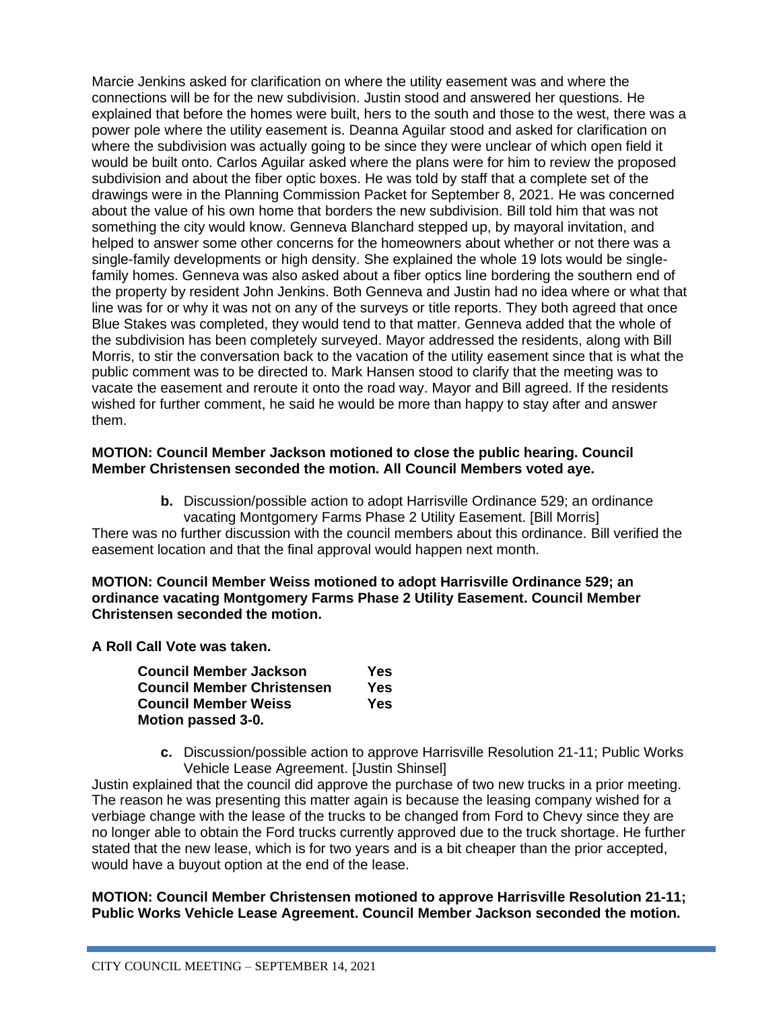Marcie Jenkins asked for clarification on where the utility easement was and where the connections will be for the new subdivision. Justin stood and answered her questions. He explained that before the homes were built, hers to the south and those to the west, there was a power pole where the utility easement is. Deanna Aguilar stood and asked for clarification on where the subdivision was actually going to be since they were unclear of which open field it would be built onto. Carlos Aguilar asked where the plans were for him to review the proposed subdivision and about the fiber optic boxes. He was told by staff that a complete set of the drawings were in the Planning Commission Packet for September 8, 2021. He was concerned about the value of his own home that borders the new subdivision. Bill told him that was not something the city would know. Genneva Blanchard stepped up, by mayoral invitation, and helped to answer some other concerns for the homeowners about whether or not there was a single-family developments or high density. She explained the whole 19 lots would be singlefamily homes. Genneva was also asked about a fiber optics line bordering the southern end of the property by resident John Jenkins. Both Genneva and Justin had no idea where or what that line was for or why it was not on any of the surveys or title reports. They both agreed that once Blue Stakes was completed, they would tend to that matter. Genneva added that the whole of the subdivision has been completely surveyed. Mayor addressed the residents, along with Bill Morris, to stir the conversation back to the vacation of the utility easement since that is what the public comment was to be directed to. Mark Hansen stood to clarify that the meeting was to vacate the easement and reroute it onto the road way. Mayor and Bill agreed. If the residents wished for further comment, he said he would be more than happy to stay after and answer them.

## **MOTION: Council Member Jackson motioned to close the public hearing. Council Member Christensen seconded the motion. All Council Members voted aye.**

**b.** Discussion/possible action to adopt Harrisville Ordinance 529; an ordinance vacating Montgomery Farms Phase 2 Utility Easement. [Bill Morris]

There was no further discussion with the council members about this ordinance. Bill verified the easement location and that the final approval would happen next month.

**MOTION: Council Member Weiss motioned to adopt Harrisville Ordinance 529; an ordinance vacating Montgomery Farms Phase 2 Utility Easement. Council Member Christensen seconded the motion.** 

**A Roll Call Vote was taken.** 

| Council Member Jackson     | Yes |
|----------------------------|-----|
| Council Member Christensen | Yes |
| Council Member Weiss       | Yes |
| Motion passed 3-0.         |     |

**c.** Discussion/possible action to approve Harrisville Resolution 21-11; Public Works Vehicle Lease Agreement. [Justin Shinsel]

Justin explained that the council did approve the purchase of two new trucks in a prior meeting. The reason he was presenting this matter again is because the leasing company wished for a verbiage change with the lease of the trucks to be changed from Ford to Chevy since they are no longer able to obtain the Ford trucks currently approved due to the truck shortage. He further stated that the new lease, which is for two years and is a bit cheaper than the prior accepted, would have a buyout option at the end of the lease.

## **MOTION: Council Member Christensen motioned to approve Harrisville Resolution 21-11; Public Works Vehicle Lease Agreement. Council Member Jackson seconded the motion.**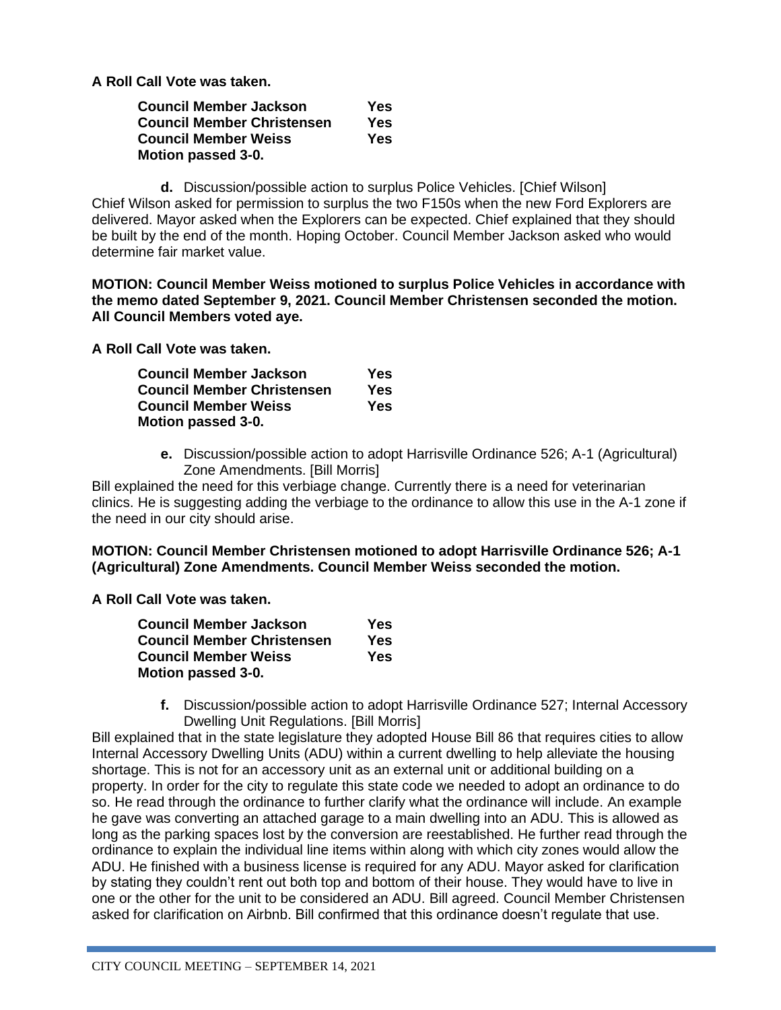**A Roll Call Vote was taken.** 

| Council Member Jackson     | Yes |
|----------------------------|-----|
| Council Member Christensen | Yes |
| Council Member Weiss       | Yes |
| Motion passed 3-0.         |     |

**d.** Discussion/possible action to surplus Police Vehicles. [Chief Wilson] Chief Wilson asked for permission to surplus the two F150s when the new Ford Explorers are delivered. Mayor asked when the Explorers can be expected. Chief explained that they should be built by the end of the month. Hoping October. Council Member Jackson asked who would determine fair market value.

**MOTION: Council Member Weiss motioned to surplus Police Vehicles in accordance with the memo dated September 9, 2021. Council Member Christensen seconded the motion. All Council Members voted aye.**

**A Roll Call Vote was taken.** 

| Council Member Jackson     | Yes |
|----------------------------|-----|
| Council Member Christensen | Yes |
| Council Member Weiss       | Yes |
| Motion passed 3-0.         |     |

**e.** Discussion/possible action to adopt Harrisville Ordinance 526; A-1 (Agricultural) Zone Amendments. [Bill Morris]

Bill explained the need for this verbiage change. Currently there is a need for veterinarian clinics. He is suggesting adding the verbiage to the ordinance to allow this use in the A-1 zone if the need in our city should arise.

**MOTION: Council Member Christensen motioned to adopt Harrisville Ordinance 526; A-1 (Agricultural) Zone Amendments. Council Member Weiss seconded the motion.** 

**A Roll Call Vote was taken.** 

| Council Member Jackson     | Yes |
|----------------------------|-----|
| Council Member Christensen | Yes |
| Council Member Weiss       | Yes |
| Motion passed 3-0.         |     |

**f.** Discussion/possible action to adopt Harrisville Ordinance 527; Internal Accessory Dwelling Unit Regulations. [Bill Morris]

Bill explained that in the state legislature they adopted House Bill 86 that requires cities to allow Internal Accessory Dwelling Units (ADU) within a current dwelling to help alleviate the housing shortage. This is not for an accessory unit as an external unit or additional building on a property. In order for the city to regulate this state code we needed to adopt an ordinance to do so. He read through the ordinance to further clarify what the ordinance will include. An example he gave was converting an attached garage to a main dwelling into an ADU. This is allowed as long as the parking spaces lost by the conversion are reestablished. He further read through the ordinance to explain the individual line items within along with which city zones would allow the ADU. He finished with a business license is required for any ADU. Mayor asked for clarification by stating they couldn't rent out both top and bottom of their house. They would have to live in one or the other for the unit to be considered an ADU. Bill agreed. Council Member Christensen asked for clarification on Airbnb. Bill confirmed that this ordinance doesn't regulate that use.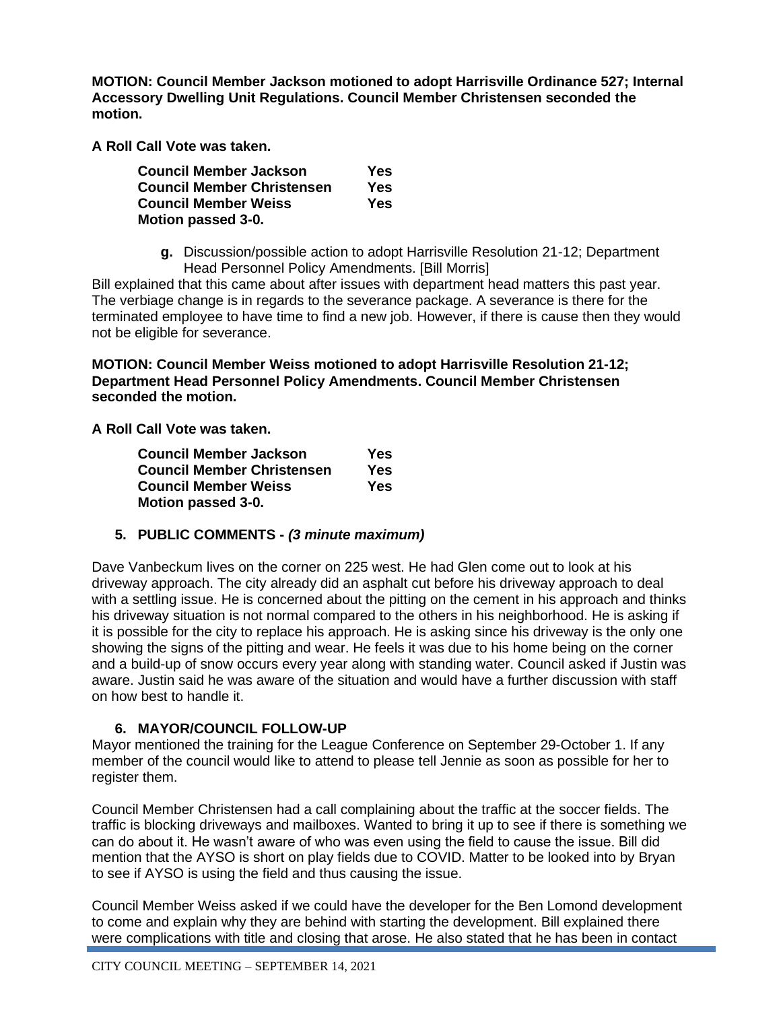**MOTION: Council Member Jackson motioned to adopt Harrisville Ordinance 527; Internal Accessory Dwelling Unit Regulations. Council Member Christensen seconded the motion.** 

**A Roll Call Vote was taken.** 

| Council Member Jackson     | Yes |
|----------------------------|-----|
| Council Member Christensen | Yes |
| Council Member Weiss       | Yes |
| Motion passed 3-0.         |     |

**g.** Discussion/possible action to adopt Harrisville Resolution 21-12; Department Head Personnel Policy Amendments. [Bill Morris]

Bill explained that this came about after issues with department head matters this past year. The verbiage change is in regards to the severance package. A severance is there for the terminated employee to have time to find a new job. However, if there is cause then they would not be eligible for severance.

**MOTION: Council Member Weiss motioned to adopt Harrisville Resolution 21-12; Department Head Personnel Policy Amendments. Council Member Christensen seconded the motion.** 

**A Roll Call Vote was taken.** 

| Council Member Jackson     | Yes |
|----------------------------|-----|
| Council Member Christensen | Yes |
| Council Member Weiss       | Yes |
| <b>Motion passed 3-0.</b>  |     |

# **5. PUBLIC COMMENTS -** *(3 minute maximum)*

Dave Vanbeckum lives on the corner on 225 west. He had Glen come out to look at his driveway approach. The city already did an asphalt cut before his driveway approach to deal with a settling issue. He is concerned about the pitting on the cement in his approach and thinks his driveway situation is not normal compared to the others in his neighborhood. He is asking if it is possible for the city to replace his approach. He is asking since his driveway is the only one showing the signs of the pitting and wear. He feels it was due to his home being on the corner and a build-up of snow occurs every year along with standing water. Council asked if Justin was aware. Justin said he was aware of the situation and would have a further discussion with staff on how best to handle it.

# **6. MAYOR/COUNCIL FOLLOW-UP**

Mayor mentioned the training for the League Conference on September 29-October 1. If any member of the council would like to attend to please tell Jennie as soon as possible for her to register them.

Council Member Christensen had a call complaining about the traffic at the soccer fields. The traffic is blocking driveways and mailboxes. Wanted to bring it up to see if there is something we can do about it. He wasn't aware of who was even using the field to cause the issue. Bill did mention that the AYSO is short on play fields due to COVID. Matter to be looked into by Bryan to see if AYSO is using the field and thus causing the issue.

Council Member Weiss asked if we could have the developer for the Ben Lomond development to come and explain why they are behind with starting the development. Bill explained there were complications with title and closing that arose. He also stated that he has been in contact